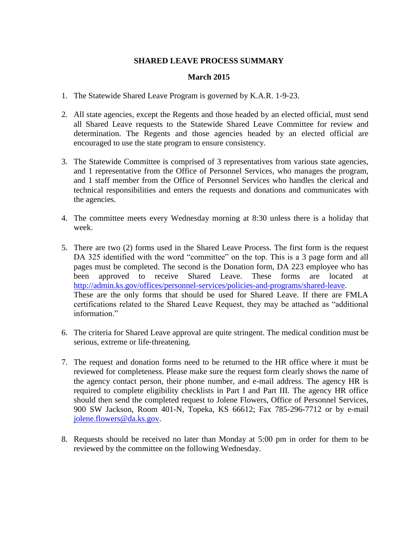## **SHARED LEAVE PROCESS SUMMARY**

## **March 2015**

- 1. The Statewide Shared Leave Program is governed by K.A.R. 1‐9‐23.
- 2. All state agencies, except the Regents and those headed by an elected official, must send all Shared Leave requests to the Statewide Shared Leave Committee for review and determination. The Regents and those agencies headed by an elected official are encouraged to use the state program to ensure consistency.
- 3. The Statewide Committee is comprised of 3 representatives from various state agencies, and 1 representative from the Office of Personnel Services, who manages the program, and 1 staff member from the Office of Personnel Services who handles the clerical and technical responsibilities and enters the requests and donations and communicates with the agencies.
- 4. The committee meets every Wednesday morning at 8:30 unless there is a holiday that week.
- 5. There are two (2) forms used in the Shared Leave Process. The first form is the request DA 325 identified with the word "committee" on the top. This is a 3 page form and all pages must be completed. The second is the Donation form, DA 223 employee who has been approved to receive Shared Leave. These forms are located at [http://admin.ks.gov/offices/personnel-services/policies-and-programs/shared-leave.](http://admin.ks.gov/offices/personnel-services/policies-and-programs/shared-leave) These are the only forms that should be used for Shared Leave. If there are FMLA certifications related to the Shared Leave Request, they may be attached as "additional information."
- 6. The criteria for Shared Leave approval are quite stringent. The medical condition must be serious, extreme or life-threatening.
- 7. The request and donation forms need to be returned to the HR office where it must be reviewed for completeness. Please make sure the request form clearly shows the name of the agency contact person, their phone number, and e-mail address. The agency HR is required to complete eligibility checklists in Part I and Part III. The agency HR office should then send the completed request to Jolene Flowers, Office of Personnel Services, 900 SW Jackson, Room 401-N, Topeka, KS 66612; Fax 785-296-7712 or by e-mail [jolene.flowers@da.ks.gov.](mailto:jolene.flowers@da.ks.gov)
- 8. Requests should be received no later than Monday at 5:00 pm in order for them to be reviewed by the committee on the following Wednesday.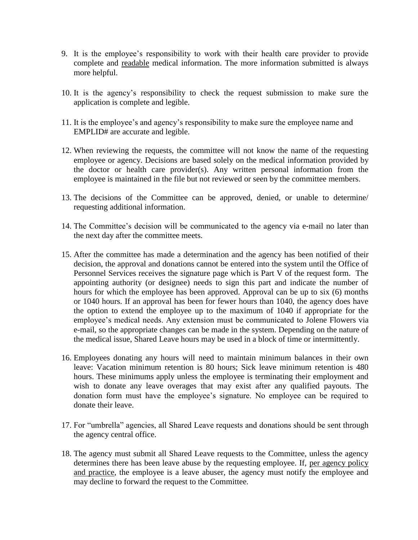- 9. It is the employee's responsibility to work with their health care provider to provide complete and readable medical information. The more information submitted is always more helpful.
- 10. It is the agency's responsibility to check the request submission to make sure the application is complete and legible.
- 11. It is the employee's and agency's responsibility to make sure the employee name and EMPLID# are accurate and legible.
- 12. When reviewing the requests, the committee will not know the name of the requesting employee or agency. Decisions are based solely on the medical information provided by the doctor or health care provider(s). Any written personal information from the employee is maintained in the file but not reviewed or seen by the committee members.
- 13. The decisions of the Committee can be approved, denied, or unable to determine/ requesting additional information.
- 14. The Committee's decision will be communicated to the agency via e-mail no later than the next day after the committee meets.
- 15. After the committee has made a determination and the agency has been notified of their decision, the approval and donations cannot be entered into the system until the Office of Personnel Services receives the signature page which is Part V of the request form. The appointing authority (or designee) needs to sign this part and indicate the number of hours for which the employee has been approved. Approval can be up to six (6) months or 1040 hours. If an approval has been for fewer hours than 1040, the agency does have the option to extend the employee up to the maximum of 1040 if appropriate for the employee's medical needs. Any extension must be communicated to Jolene Flowers via e-mail, so the appropriate changes can be made in the system. Depending on the nature of the medical issue, Shared Leave hours may be used in a block of time or intermittently.
- 16. Employees donating any hours will need to maintain minimum balances in their own leave: Vacation minimum retention is 80 hours; Sick leave minimum retention is 480 hours. These minimums apply unless the employee is terminating their employment and wish to donate any leave overages that may exist after any qualified payouts. The donation form must have the employee's signature. No employee can be required to donate their leave.
- 17. For "umbrella" agencies, all Shared Leave requests and donations should be sent through the agency central office.
- 18. The agency must submit all Shared Leave requests to the Committee, unless the agency determines there has been leave abuse by the requesting employee. If, per agency policy and practice, the employee is a leave abuser, the agency must notify the employee and may decline to forward the request to the Committee.